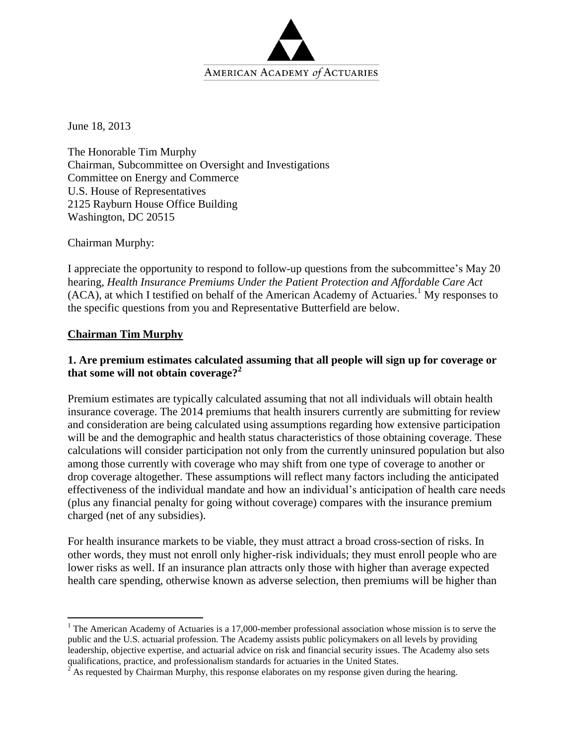

June 18, 2013

The Honorable Tim Murphy Chairman, Subcommittee on Oversight and Investigations Committee on Energy and Commerce U.S. House of Representatives 2125 Rayburn House Office Building Washington, DC 20515

Chairman Murphy:

I appreciate the opportunity to respond to follow-up questions from the subcommittee's May 20 hearing, *Health Insurance Premiums Under the Patient Protection and Affordable Care Act*  (ACA), at which I testified on behalf of the American Academy of Actuaries.<sup>1</sup> My responses to the specific questions from you and Representative Butterfield are below.

#### **Chairman Tim Murphy**

 $\overline{a}$ 

## **1. Are premium estimates calculated assuming that all people will sign up for coverage or that some will not obtain coverage? 2**

Premium estimates are typically calculated assuming that not all individuals will obtain health insurance coverage. The 2014 premiums that health insurers currently are submitting for review and consideration are being calculated using assumptions regarding how extensive participation will be and the demographic and health status characteristics of those obtaining coverage. These calculations will consider participation not only from the currently uninsured population but also among those currently with coverage who may shift from one type of coverage to another or drop coverage altogether. These assumptions will reflect many factors including the anticipated effectiveness of the individual mandate and how an individual's anticipation of health care needs (plus any financial penalty for going without coverage) compares with the insurance premium charged (net of any subsidies).

For health insurance markets to be viable, they must attract a broad cross-section of risks. In other words, they must not enroll only higher-risk individuals; they must enroll people who are lower risks as well. If an insurance plan attracts only those with higher than average expected health care spending, otherwise known as adverse selection, then premiums will be higher than

 $1$  The American Academy of Actuaries is a 17,000-member professional association whose mission is to serve the public and the U.S. actuarial profession. The Academy assists public policymakers on all levels by providing leadership, objective expertise, and actuarial advice on risk and financial security issues. The Academy also sets qualifications, practice, and professionalism standards for actuaries in the United States.

 $2^2$  As requested by Chairman Murphy, this response elaborates on my response given during the hearing.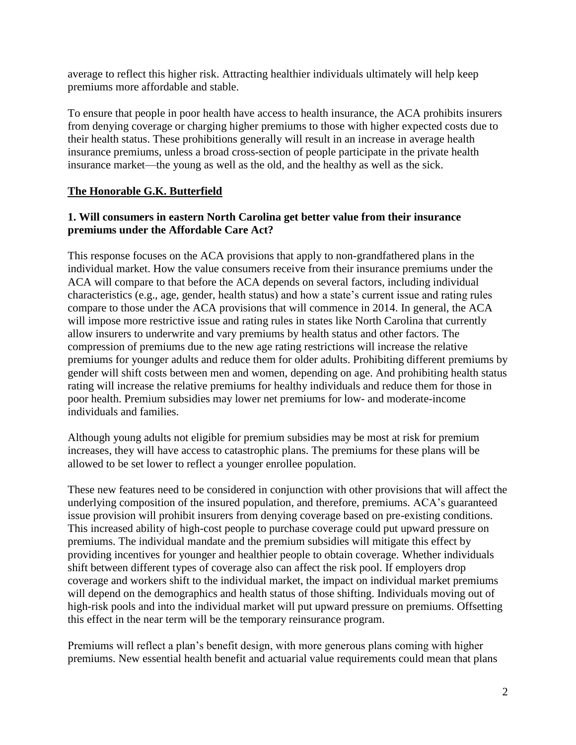average to reflect this higher risk. Attracting healthier individuals ultimately will help keep premiums more affordable and stable.

To ensure that people in poor health have access to health insurance, the ACA prohibits insurers from denying coverage or charging higher premiums to those with higher expected costs due to their health status. These prohibitions generally will result in an increase in average health insurance premiums, unless a broad cross-section of people participate in the private health insurance market—the young as well as the old, and the healthy as well as the sick.

# **The Honorable G.K. Butterfield**

## **1. Will consumers in eastern North Carolina get better value from their insurance premiums under the Affordable Care Act?**

This response focuses on the ACA provisions that apply to non-grandfathered plans in the individual market. How the value consumers receive from their insurance premiums under the ACA will compare to that before the ACA depends on several factors, including individual characteristics (e.g., age, gender, health status) and how a state's current issue and rating rules compare to those under the ACA provisions that will commence in 2014. In general, the ACA will impose more restrictive issue and rating rules in states like North Carolina that currently allow insurers to underwrite and vary premiums by health status and other factors. The compression of premiums due to the new age rating restrictions will increase the relative premiums for younger adults and reduce them for older adults. Prohibiting different premiums by gender will shift costs between men and women, depending on age. And prohibiting health status rating will increase the relative premiums for healthy individuals and reduce them for those in poor health. Premium subsidies may lower net premiums for low- and moderate-income individuals and families.

Although young adults not eligible for premium subsidies may be most at risk for premium increases, they will have access to catastrophic plans. The premiums for these plans will be allowed to be set lower to reflect a younger enrollee population.

These new features need to be considered in conjunction with other provisions that will affect the underlying composition of the insured population, and therefore, premiums. ACA's guaranteed issue provision will prohibit insurers from denying coverage based on pre-existing conditions. This increased ability of high-cost people to purchase coverage could put upward pressure on premiums. The individual mandate and the premium subsidies will mitigate this effect by providing incentives for younger and healthier people to obtain coverage. Whether individuals shift between different types of coverage also can affect the risk pool. If employers drop coverage and workers shift to the individual market, the impact on individual market premiums will depend on the demographics and health status of those shifting. Individuals moving out of high-risk pools and into the individual market will put upward pressure on premiums. Offsetting this effect in the near term will be the temporary reinsurance program.

Premiums will reflect a plan's benefit design, with more generous plans coming with higher premiums. New essential health benefit and actuarial value requirements could mean that plans